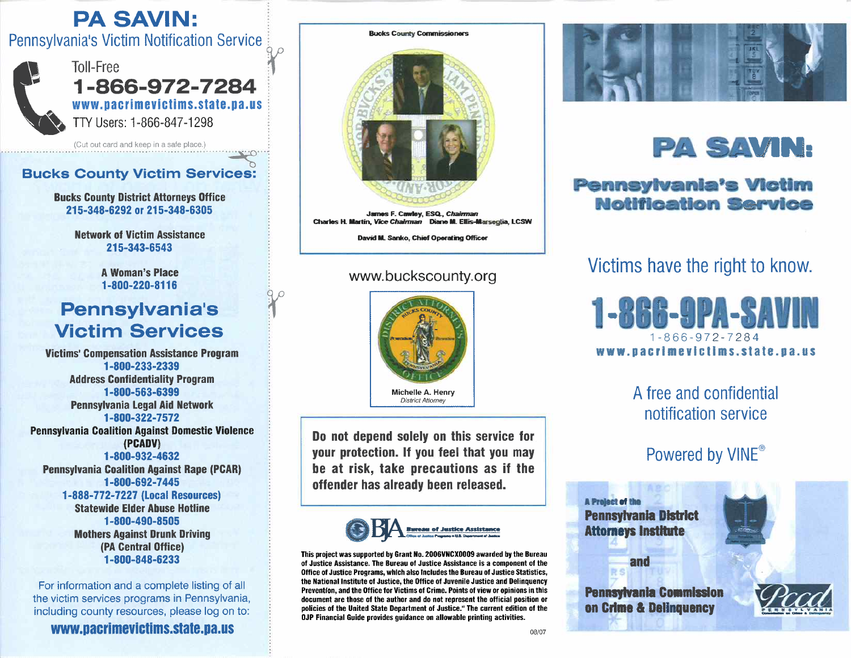### PA SAVIN: PA SAVIN:

Pennsylvania's Victim Notification Service i I Toll-Free r Pennsylvania's Victim Notification Service



 $- 1 - 866 - 972 - 7284$ www.pacrimevictims.state.pa.us ~ TTY Users: 1-866-847-1298 ! W^ TW Users: 1-866-847-1298

(Cut out card and keep in a safe place.)  $\cdot$ . ............................. ,., .. · .. ~· .. 1

# Bucks County Victim Services:

Bucks County District Attorneys Office Bucks Gounty llistfct Attorneys Office 215-348-6292 or 215-348-6305 215-348-6292 or 215-348-6305

> Network of Victim Assistance lletwoft of Victim Assistance 215-343-6543 215-343-6543

> > A Woman's Place 1-800-220-8116 1-800-220-81 10

### 1-800-220-8116<br>**Pennsylvania's** Victim Services Victim Services

 $9\,\rho$ ł :l

Victims' Compensation Assistance Program Victims' Gompensation Assistance Program1-800-233-2339 1-800-233-2339 Address Confidentiality Program Address Confidentiality Ptogtam 1-800-563-6399 1-800-563-6399 Pennsylvania Legal Aid Network Pennsylvania Legal Aid lletwork1-800-322-7572 1-800-322-7572 Pennsylvania Coalition Against Domestic Violence Pennsylvania Goalition Against Domestic Violence (PCADV) (PGADVI 1-800-932-4632 1-800-932-4632 Pennsylvania Coalition Against Rape (PCAR) Pennsylvania Goalition Against Bape (PGARI 1-800-692- 7445 1-800-692-7445

1-888-772-7227 (Local Resources)

Statewide Elder Abuse Hotline Statewide Elder Abuse Hotline1-800-490-8505 1-800-490-8505 Mothers Against Drunk Driving Mothers Against Drunk Driving(PA Central Office) 1-800-848-6233 (PA GentralOffice)1-800-848-6233

For information and a complete listing of all For information and a complete listing of all the victim services programs in Pennsylvania, the victim services programs in Pennsylvania, including county resources, please log on to: including county resources, please log on to:

www.pacrimevictims.state.pa.u



James F. Cawley, ESQ., *Chairman* Charles H. Martin, Vice Chairman Diane M. Ellis-Marseglia, LCSW

David M. Sanko, Chief Operating Officer

#### www.buckscounty.org



Do not depend solely on this service for Do not depend solely on this service for your protection. If you feel that you may your protection. lf you feel that you may be at risk, take precautions as if the be at risk, take precautions as if theoffender has already been released. offender has already been released.



This project was supported by Grant No. 2006VNCX0009 awarded by the Bureau of Justice Assistance. The Bureau of Justice Assistance is a component of the Office of Justice Programs, which also includes the Bureau of Justice Statistics, the National Institute of Justice, the Office of Juvenile Justice and Delinquency the National Institute of Justice, the Office of Juvenile Justice and Delinquency<br>Prevention, and the Office for Victims of Crime. Points of view or opinions in this document are those of the author and do not represent the official position or policies of the United State Department of Justice." The current edition of the document are those of the author and do not represent the official position or<br>policies of the United State Department of Justice." The current edition of the<br>OJP Financial Guide provides guidance on allowable printing act



## **Pennsylvania's Victim<br>Notification Service**

### Victims have the right to know. Victims have the right to know.



A free and confidential A free and confidential notification service

## notification service<br>Powered by VINE®

A Project of Pennsylvani<mark>a District</mark> Attorneys Institute

and

Pennsylvania Commission on Crime & Delinquency